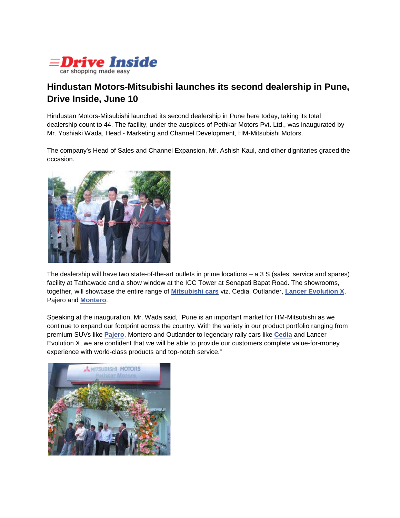

## **Hindustan Motors-Mitsubishi launches its second dealership in Pune, Drive Inside, June 10**

Hindustan Motors-Mitsubishi launched its second dealership in Pune here today, taking its total dealership count to 44. The facility, under the auspices of Pethkar Motors Pvt. Ltd., was inaugurated by Mr. Yoshiaki Wada, Head - Marketing and Channel Development, HM-Mitsubishi Motors.

The company's Head of Sales and Channel Expansion, Mr. Ashish Kaul, and other dignitaries graced the occasion.



The dealership will have two state-of-the-art outlets in prime locations – a 3 S (sales, service and spares) facility at Tathawade and a show window at the ICC Tower at Senapati Bapat Road. The showrooms, together, will showcase the entire range of **[Mitsubishi cars](http://www.driveinside.com/cars/mitsubishi/)** viz. Cedia, Outlander, **[Lancer Evolution X](http://www.driveinside.com/cars/mitsubishi-lancer-evolution-x/current-year/221/)**, Pajero and **[Montero](http://www.driveinside.com/cars/mitsubishi-montero/current-year/72/)**.

Speaking at the inauguration, Mr. Wada said, "Pune is an important market for HM-Mitsubishi as we continue to expand our footprint across the country. With the variety in our product portfolio ranging from premium SUVs like **[Pajero](http://www.driveinside.com/cars/mitsubishi-pajero/current-year/73/)**, Montero and Outlander to legendary rally cars like **[Cedia](http://www.driveinside.com/cars/mitsubishi-cedia/current-year/57/)** and Lancer Evolution X, we are confident that we will be able to provide our customers complete value-for-money experience with world-class products and top-notch service."